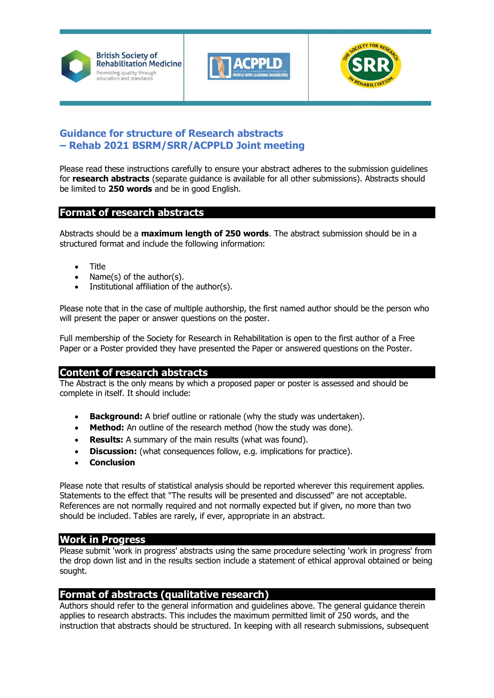





# **Guidance for structure of Research abstracts – Rehab 2021 BSRM/SRR/ACPPLD Joint meeting**

Please read these instructions carefully to ensure your abstract adheres to the submission guidelines for **research abstracts** (separate guidance is available for all other submissions). Abstracts should be limited to **250 words** and be in good English.

# **Format of research abstracts**

Abstracts should be a **maximum length of 250 words**. The abstract submission should be in a structured format and include the following information:

- Title
- Name(s) of the author(s).
- Institutional affiliation of the author(s).

Please note that in the case of multiple authorship, the first named author should be the person who will present the paper or answer questions on the poster.

Full membership of the Society for Research in Rehabilitation is open to the first author of a Free Paper or a Poster provided they have presented the Paper or answered questions on the Poster.

# **Content of research abstracts**

The Abstract is the only means by which a proposed paper or poster is assessed and should be complete in itself. It should include:

- **Background:** A brief outline or rationale (why the study was undertaken).
- **Method:** An outline of the research method (how the study was done).
- **Results:** A summary of the main results (what was found).
- **Discussion:** (what consequences follow, e.g. implications for practice).
- **Conclusion**

Please note that results of statistical analysis should be reported wherever this requirement applies. Statements to the effect that "The results will be presented and discussed" are not acceptable. References are not normally required and not normally expected but if given, no more than two should be included. Tables are rarely, if ever, appropriate in an abstract.

### **Work in Progress**

Please submit 'work in progress' abstracts using the same procedure selecting 'work in progress' from the drop down list and in the results section include a statement of ethical approval obtained or being sought.

### **Format of abstracts (qualitative research)**

Authors should refer to the general information and guidelines above. The general guidance therein applies to research abstracts. This includes the maximum permitted limit of 250 words, and the instruction that abstracts should be structured. In keeping with all research submissions, subsequent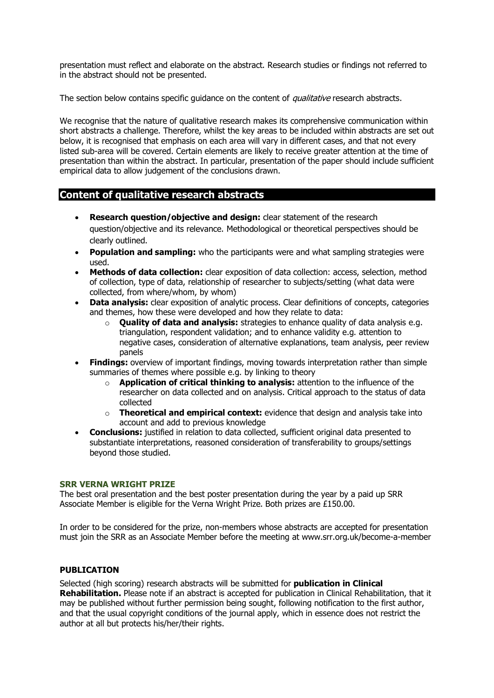presentation must reflect and elaborate on the abstract. Research studies or findings not referred to in the abstract should not be presented.

The section below contains specific quidance on the content of *qualitative* research abstracts.

We recognise that the nature of qualitative research makes its comprehensive communication within short abstracts a challenge. Therefore, whilst the key areas to be included within abstracts are set out below, it is recognised that emphasis on each area will vary in different cases, and that not every listed sub-area will be covered. Certain elements are likely to receive greater attention at the time of presentation than within the abstract. In particular, presentation of the paper should include sufficient empirical data to allow judgement of the conclusions drawn.

### **Content of qualitative research abstracts**

- **Research question/objective and design:** clear statement of the research question/objective and its relevance. Methodological or theoretical perspectives should be clearly outlined.
- **Population and sampling:** who the participants were and what sampling strategies were used.
- **Methods of data collection:** clear exposition of data collection: access, selection, method of collection, type of data, relationship of researcher to subjects/setting (what data were collected, from where/whom, by whom)
- **Data analysis:** clear exposition of analytic process. Clear definitions of concepts, categories and themes, how these were developed and how they relate to data:
	- o **Quality of data and analysis:** strategies to enhance quality of data analysis e.g. triangulation, respondent validation; and to enhance validity e.g. attention to negative cases, consideration of alternative explanations, team analysis, peer review panels
- **Findings:** overview of important findings, moving towards interpretation rather than simple summaries of themes where possible e.g. by linking to theory
	- o **Application of critical thinking to analysis:** attention to the influence of the researcher on data collected and on analysis. Critical approach to the status of data collected
	- o **Theoretical and empirical context:** evidence that design and analysis take into account and add to previous knowledge
- **Conclusions:** justified in relation to data collected, sufficient original data presented to substantiate interpretations, reasoned consideration of transferability to groups/settings beyond those studied.

#### **SRR VERNA WRIGHT PRIZE**

The best oral presentation and the best poster presentation during the year by a paid up SRR Associate Member is eligible for the Verna Wright Prize. Both prizes are £150.00.

In order to be considered for the prize, non-members whose abstracts are accepted for presentation must join the SRR as an Associate Member before the meeting at [www.srr.org.uk/become-a-member](https://www.srr.org.uk/become-a-member)

#### **PUBLICATION**

Selected (high scoring) research abstracts will be submitted for **publication in Clinical Rehabilitation.** Please note if an abstract is accepted for publication in Clinical Rehabilitation, that it may be published without further permission being sought, following notification to the first author, and that the usual copyright conditions of the journal apply, which in essence does not restrict the author at all but protects his/her/their rights.